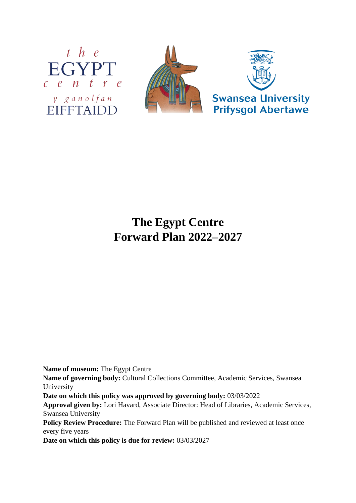



# **The Egypt Centre Forward Plan 2022–2027**

**Name of museum:** The Egypt Centre

**Name of governing body:** Cultural Collections Committee, Academic Services, Swansea University

**Date on which this policy was approved by governing body:** 03/03/2022

**Approval given by:** Lori Havard, Associate Director: Head of Libraries, Academic Services, Swansea University

Policy Review Procedure: The Forward Plan will be published and reviewed at least once every five years

**Date on which this policy is due for review:** 03/03/2027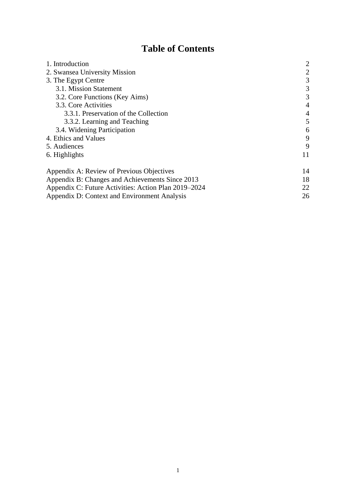# **Table of Contents**

| 1. Introduction                                      | 2              |
|------------------------------------------------------|----------------|
| 2. Swansea University Mission                        | 2              |
| 3. The Egypt Centre                                  | 3              |
| 3.1. Mission Statement                               | 3              |
| 3.2. Core Functions (Key Aims)                       | 3              |
| 3.3. Core Activities                                 | $\overline{4}$ |
| 3.3.1. Preservation of the Collection                | $\overline{4}$ |
| 3.3.2. Learning and Teaching                         | 5              |
| 3.4. Widening Participation                          | 6              |
| 4. Ethics and Values                                 | 9              |
| 5. Audiences                                         | 9              |
| 6. Highlights                                        | 11             |
| Appendix A: Review of Previous Objectives            | 14             |
| Appendix B: Changes and Achievements Since 2013      | 18             |
| Appendix C: Future Activities: Action Plan 2019–2024 | 22             |
| Appendix D: Context and Environment Analysis         | 26             |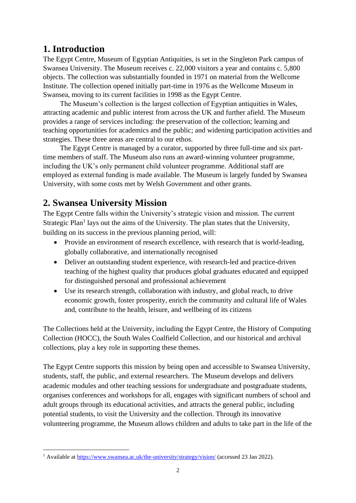# **1. Introduction**

The Egypt Centre, Museum of Egyptian Antiquities, is set in the Singleton Park campus of Swansea University. The Museum receives c. 22,000 visitors a year and contains c. 5,800 objects. The collection was substantially founded in 1971 on material from the Wellcome Institute. The collection opened initially part-time in 1976 as the Wellcome Museum in Swansea, moving to its current facilities in 1998 as the Egypt Centre.

The Museum's collection is the largest collection of Egyptian antiquities in Wales, attracting academic and public interest from across the UK and further afield. The Museum provides a range of services including: the preservation of the collection; learning and teaching opportunities for academics and the public; and widening participation activities and strategies. These three areas are central to our ethos.

The Egypt Centre is managed by a curator, supported by three full-time and six parttime members of staff. The Museum also runs an award-winning volunteer programme, including the UK's only permanent child volunteer programme. Additional staff are employed as external funding is made available. The Museum is largely funded by Swansea University, with some costs met by Welsh Government and other grants.

# **2. Swansea University Mission**

The Egypt Centre falls within the University's strategic vision and mission. The current Strategic Plan<sup>1</sup> lays out the aims of the University. The plan states that the University, building on its success in the previous planning period, will:

- Provide an environment of research excellence, with research that is world-leading, globally collaborative, and internationally recognised
- Deliver an outstanding student experience, with research-led and practice-driven teaching of the highest quality that produces global graduates educated and equipped for distinguished personal and professional achievement
- Use its research strength, collaboration with industry, and global reach, to drive economic growth, foster prosperity, enrich the community and cultural life of Wales and, contribute to the health, leisure, and wellbeing of its citizens

The Collections held at the University, including the Egypt Centre, the History of Computing Collection (HOCC), the South Wales Coalfield Collection, and our historical and archival collections, play a key role in supporting these themes.

The Egypt Centre supports this mission by being open and accessible to Swansea University, students, staff, the public, and external researchers. The Museum develops and delivers academic modules and other teaching sessions for undergraduate and postgraduate students, organises conferences and workshops for all, engages with significant numbers of school and adult groups through its educational activities, and attracts the general public, including potential students, to visit the University and the collection. Through its innovative volunteering programme, the Museum allows children and adults to take part in the life of the

<sup>1</sup> Available at<https://www.swansea.ac.uk/the-university/strategy/vision/> (accessed 23 Jan 2022).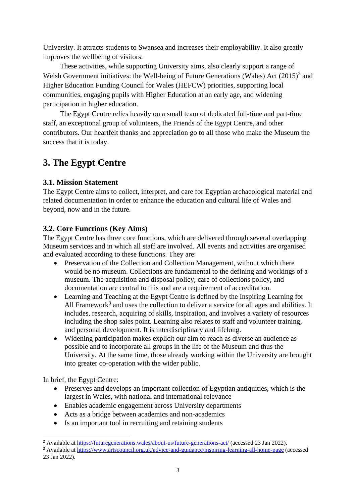University. It attracts students to Swansea and increases their employability. It also greatly improves the wellbeing of visitors.

These activities, while supporting University aims, also clearly support a range of Welsh Government initiatives: the Well-being of Future Generations (Wales) Act  $(2015)^2$  and Higher Education Funding Council for Wales (HEFCW) priorities, supporting local communities, engaging pupils with Higher Education at an early age, and widening participation in higher education.

The Egypt Centre relies heavily on a small team of dedicated full-time and part-time staff, an exceptional group of volunteers, the Friends of the Egypt Centre, and other contributors. Our heartfelt thanks and appreciation go to all those who make the Museum the success that it is today.

# **3. The Egypt Centre**

# **3.1. Mission Statement**

The Egypt Centre aims to collect, interpret, and care for Egyptian archaeological material and related documentation in order to enhance the education and cultural life of Wales and beyond, now and in the future.

# **3.2. Core Functions (Key Aims)**

The Egypt Centre has three core functions, which are delivered through several overlapping Museum services and in which all staff are involved. All events and activities are organised and evaluated according to these functions. They are:

- Preservation of the Collection and Collection Management, without which there would be no museum. Collections are fundamental to the defining and workings of a museum. The acquisition and disposal policy, care of collections policy, and documentation are central to this and are a requirement of accreditation.
- Learning and Teaching at the Egypt Centre is defined by the Inspiring Learning for All Framework<sup>3</sup> and uses the collection to deliver a service for all ages and abilities. It includes, research, acquiring of skills, inspiration, and involves a variety of resources including the shop sales point. Learning also relates to staff and volunteer training, and personal development. It is interdisciplinary and lifelong.
- Widening participation makes explicit our aim to reach as diverse an audience as possible and to incorporate all groups in the life of the Museum and thus the University. At the same time, those already working within the University are brought into greater co-operation with the wider public.

In brief, the Egypt Centre:

- Preserves and develops an important collection of Egyptian antiquities, which is the largest in Wales, with national and international relevance
- Enables academic engagement across University departments
- Acts as a bridge between academics and non-academics
- Is an important tool in recruiting and retaining students

<sup>2</sup> Available at<https://futuregenerations.wales/about-us/future-generations-act/> (accessed 23 Jan 2022).

<sup>3</sup> Available at<https://www.artscouncil.org.uk/advice-and-guidance/inspiring-learning-all-home-page> (accessed 23 Jan 2022).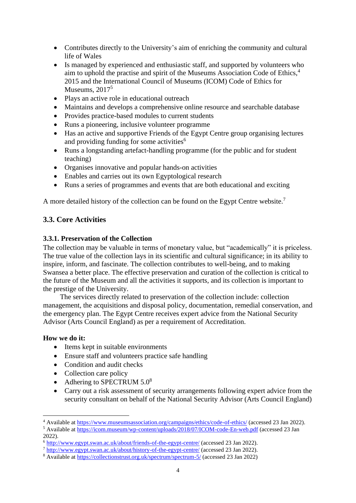- Contributes directly to the University's aim of enriching the community and cultural life of Wales
- Is managed by experienced and enthusiastic staff, and supported by volunteers who aim to uphold the practise and spirit of the Museums Association Code of Ethics,<sup>4</sup> 2015 and the International Council of Museums (ICOM) Code of Ethics for Museums, 2017<sup>5</sup>
- Plays an active role in educational outreach
- Maintains and develops a comprehensive online resource and searchable database
- Provides practice-based modules to current students
- Runs a pioneering, inclusive volunteer programme
- Has an active and supportive Friends of the Egypt Centre group organising lectures and providing funding for some activities $6$
- Runs a longstanding artefact-handling programme (for the public and for student teaching)
- Organises innovative and popular hands-on activities
- Enables and carries out its own Egyptological research
- Runs a series of programmes and events that are both educational and exciting

A more detailed history of the collection can be found on the Egypt Centre website.<sup>7</sup>

# **3.3. Core Activities**

# **3.3.1. Preservation of the Collection**

The collection may be valuable in terms of monetary value, but "academically" it is priceless. The true value of the collection lays in its scientific and cultural significance; in its ability to inspire, inform, and fascinate. The collection contributes to well-being, and to making Swansea a better place. The effective preservation and curation of the collection is critical to the future of the Museum and all the activities it supports, and its collection is important to the prestige of the University.

The services directly related to preservation of the collection include: collection management, the acquisitions and disposal policy, documentation, remedial conservation, and the emergency plan. The Egypt Centre receives expert advice from the National Security Advisor (Arts Council England) as per a requirement of Accreditation.

# **How we do it:**

- Items kept in suitable environments
- Ensure staff and volunteers practice safe handling
- Condition and audit checks
- Collection care policy
- Adhering to SPECTRUM 5.0<sup>8</sup>
- Carry out a risk assessment of security arrangements following expert advice from the security consultant on behalf of the National Security Advisor (Arts Council England)

<sup>4</sup> Available at<https://www.museumsassociation.org/campaigns/ethics/code-of-ethics/> (accessed 23 Jan 2022).

<sup>&</sup>lt;sup>5</sup> Available at<https://icom.museum/wp-content/uploads/2018/07/ICOM-code-En-web.pdf> (accessed 23 Jan 2022).

<sup>6</sup> <http://www.egypt.swan.ac.uk/about/friends-of-the-egypt-centre/> (accessed 23 Jan 2022).

<sup>7</sup> <http://www.egypt.swan.ac.uk/about/history-of-the-egypt-centre/> (accessed 23 Jan 2022).

<sup>8</sup> Available at<https://collectionstrust.org.uk/spectrum/spectrum-5/> (accessed 23 Jan 2022)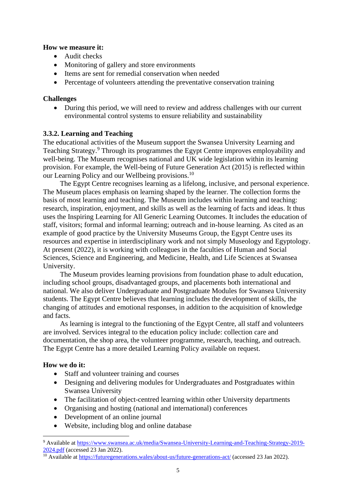### **How we measure it:**

- Audit checks
- Monitoring of gallery and store environments
- Items are sent for remedial conservation when needed
- Percentage of volunteers attending the preventative conservation training

# **Challenges**

• During this period, we will need to review and address challenges with our current environmental control systems to ensure reliability and sustainability

# **3.3.2. Learning and Teaching**

The educational activities of the Museum support the Swansea University Learning and Teaching Strategy.<sup>9</sup> Through its programmes the Egypt Centre improves employability and well-being. The Museum recognises national and UK wide legislation within its learning provision. For example, the Well-being of Future Generation Act (2015) is reflected within our Learning Policy and our Wellbeing provisions.<sup>10</sup>

The Egypt Centre recognises learning as a lifelong, inclusive, and personal experience. The Museum places emphasis on learning shaped by the learner. The collection forms the basis of most learning and teaching. The Museum includes within learning and teaching: research, inspiration, enjoyment, and skills as well as the learning of facts and ideas. It thus uses the Inspiring Learning for All Generic Learning Outcomes. It includes the education of staff, visitors; formal and informal learning; outreach and in-house learning. As cited as an example of good practice by the University Museums Group, the Egypt Centre uses its resources and expertise in interdisciplinary work and not simply Museology and Egyptology. At present (2022), it is working with colleagues in the faculties of Human and Social Sciences, Science and Engineering, and Medicine, Health, and Life Sciences at Swansea University.

The Museum provides learning provisions from foundation phase to adult education, including school groups, disadvantaged groups, and placements both international and national. We also deliver Undergraduate and Postgraduate Modules for Swansea University students. The Egypt Centre believes that learning includes the development of skills, the changing of attitudes and emotional responses, in addition to the acquisition of knowledge and facts.

As learning is integral to the functioning of the Egypt Centre, all staff and volunteers are involved. Services integral to the education policy include: collection care and documentation, the shop area, the volunteer programme, research, teaching, and outreach. The Egypt Centre has a more detailed Learning Policy available on request.

# **How we do it:**

- Staff and volunteer training and courses
- Designing and delivering modules for Undergraduates and Postgraduates within Swansea University
- The facilitation of object-centred learning within other University departments
- Organising and hosting (national and international) conferences
- Development of an online journal
- Website, including blog and online database

<sup>9</sup> Available at [https://www.swansea.ac.uk/media/Swansea-University-Learning-and-Teaching-Strategy-2019-](https://www.swansea.ac.uk/media/Swansea-University-Learning-and-Teaching-Strategy-2019-2024.pdf) [2024.pdf](https://www.swansea.ac.uk/media/Swansea-University-Learning-and-Teaching-Strategy-2019-2024.pdf) (accessed 23 Jan 2022).

 $\overline{^{10}$  Available at<https://futuregenerations.wales/about-us/future-generations-act/> (accessed 23 Jan 2022).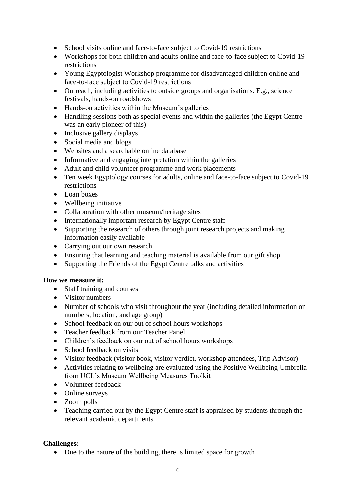- School visits online and face-to-face subject to Covid-19 restrictions
- Workshops for both children and adults online and face-to-face subject to Covid-19 restrictions
- Young Egyptologist Workshop programme for disadvantaged children online and face-to-face subject to Covid-19 restrictions
- Outreach, including activities to outside groups and organisations. E.g., science festivals, hands-on roadshows
- Hands-on activities within the Museum's galleries
- Handling sessions both as special events and within the galleries (the Egypt Centre was an early pioneer of this)
- Inclusive gallery displays
- Social media and blogs
- Websites and a searchable online database
- Informative and engaging interpretation within the galleries
- Adult and child volunteer programme and work placements
- Ten week Egyptology courses for adults, online and face-to-face subject to Covid-19 restrictions
- Loan boxes
- Wellbeing initiative
- Collaboration with other museum/heritage sites
- Internationally important research by Egypt Centre staff
- Supporting the research of others through joint research projects and making information easily available
- Carrying out our own research
- Ensuring that learning and teaching material is available from our gift shop
- Supporting the Friends of the Egypt Centre talks and activities

# **How we measure it:**

- Staff training and courses
- Visitor numbers
- Number of schools who visit throughout the year (including detailed information on numbers, location, and age group)
- School feedback on our out of school hours workshops
- Teacher feedback from our Teacher Panel
- Children's feedback on our out of school hours workshops
- School feedback on visits
- Visitor feedback (visitor book, visitor verdict, workshop attendees, Trip Advisor)
- Activities relating to wellbeing are evaluated using the Positive Wellbeing Umbrella from UCL's Museum Wellbeing Measures Toolkit
- Volunteer feedback
- Online surveys
- Zoom polls
- Teaching carried out by the Egypt Centre staff is appraised by students through the relevant academic departments

# **Challenges:**

• Due to the nature of the building, there is limited space for growth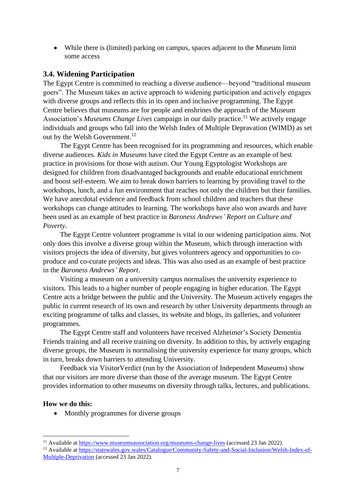• While there is (limited) parking on campus, spaces adjacent to the Museum limit some access

### **3.4. Widening Participation**

The Egypt Centre is committed to reaching a diverse audience—beyond "traditional museum goers". The Museum takes an active approach to widening participation and actively engages with diverse groups and reflects this in its open and inclusive programming. The Egypt Centre believes that museums are for people and enshrines the approach of the Museum Association's *Museums Change Lives* campaign in our daily practice.<sup>11</sup> We actively engage individuals and groups who fall into the Welsh Index of Multiple Depravation (WIMD) as set out by the Welsh Government.<sup>12</sup>

The Egypt Centre has been recognised for its programming and resources, which enable diverse audiences. *Kids in Museums* have cited the Egypt Centre as an example of best practice in provisions for those with autism. Our Young Egyptologist Workshops are designed for children from disadvantaged backgrounds and enable educational enrichment and boost self-esteem. We aim to break down barriers to learning by providing travel to the workshops, lunch, and a fun environment that reaches not only the children but their families. We have anecdotal evidence and feedback from school children and teachers that these workshops can change attitudes to learning. The workshops have also won awards and have been used as an example of best practice in *Baroness Andrews' Report on Culture and Poverty*.

The Egypt Centre volunteer programme is vital in our widening participation aims. Not only does this involve a diverse group within the Museum, which through interaction with visitors projects the idea of diversity, but gives volunteers agency and opportunities to coproduce and co-curate projects and ideas. This was also used as an example of best practice in the *Baroness Andrews' Report*.

Visiting a museum on a university campus normalises the university experience to visitors. This leads to a higher number of people engaging in higher education. The Egypt Centre acts a bridge between the public and the University. The Museum actively engages the public in current research of its own and research by other University departments through an exciting programme of talks and classes, its website and blogs, its galleries, and volunteer programmes.

The Egypt Centre staff and volunteers have received Alzheimer's Society Dementia Friends training and all receive training on diversity. In addition to this, by actively engaging diverse groups, the Museum is normalising the university experience for many groups, which in turn, breaks down barriers to attending University.

Feedback via VisitorVerdict (run by the Association of Independent Museums) show that our visitors are more diverse than those of the average museum. The Egypt Centre provides information to other museums on diversity through talks, lectures, and publications.

#### **How we do this:**

• Monthly programmes for diverse groups

<sup>11</sup> Available at<https://www.museumsassociation.org/museums-change-lives> (accessed 23 Jan 2022).

<sup>&</sup>lt;sup>12</sup> Available at [https://statswales.gov.wales/Catalogue/Community-Safety-and-Social-Inclusion/Welsh-Index-of-](https://statswales.gov.wales/Catalogue/Community-Safety-and-Social-Inclusion/Welsh-Index-of-Multiple-Deprivation)[Multiple-Deprivation](https://statswales.gov.wales/Catalogue/Community-Safety-and-Social-Inclusion/Welsh-Index-of-Multiple-Deprivation) (accessed 23 Jan 2022).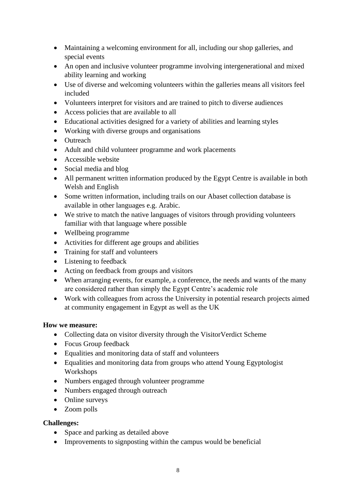- Maintaining a welcoming environment for all, including our shop galleries, and special events
- An open and inclusive volunteer programme involving intergenerational and mixed ability learning and working
- Use of diverse and welcoming volunteers within the galleries means all visitors feel included
- Volunteers interpret for visitors and are trained to pitch to diverse audiences
- Access policies that are available to all
- Educational activities designed for a variety of abilities and learning styles
- Working with diverse groups and organisations
- Outreach
- Adult and child volunteer programme and work placements
- Accessible website
- Social media and blog
- All permanent written information produced by the Egypt Centre is available in both Welsh and English
- Some written information, including trails on our Abaset collection database is available in other languages e.g. Arabic.
- We strive to match the native languages of visitors through providing volunteers familiar with that language where possible
- Wellbeing programme
- Activities for different age groups and abilities
- Training for staff and volunteers
- Listening to feedback
- Acting on feedback from groups and visitors
- When arranging events, for example, a conference, the needs and wants of the many are considered rather than simply the Egypt Centre's academic role
- Work with colleagues from across the University in potential research projects aimed at community engagement in Egypt as well as the UK

# **How we measure:**

- Collecting data on visitor diversity through the VisitorVerdict Scheme
- Focus Group feedback
- Equalities and monitoring data of staff and volunteers
- Equalities and monitoring data from groups who attend Young Egyptologist Workshops
- Numbers engaged through volunteer programme
- Numbers engaged through outreach
- Online surveys
- Zoom polls

# **Challenges:**

- Space and parking as detailed above
- Improvements to signposting within the campus would be beneficial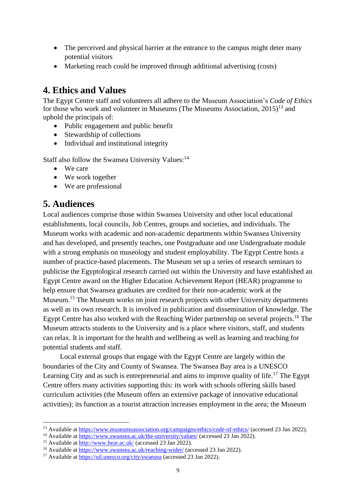- The perceived and physical barrier at the entrance to the campus might deter many potential visitors
- Marketing reach could be improved through additional advertising (costs)

# **4. Ethics and Values**

The Egypt Centre staff and volunteers all adhere to the Museum Association's *Code of Ethics* for those who work and volunteer in Museums (The Museums Association,  $2015$ )<sup>13</sup> and uphold the principals of:

- Public engagement and public benefit
- Stewardship of collections
- Individual and institutional integrity

Staff also follow the Swansea University Values:<sup>14</sup>

- We care
- We work together
- We are professional

# **5. Audiences**

Local audiences comprise those within Swansea University and other local educational establishments, local councils, Job Centres, groups and societies, and individuals. The Museum works with academic and non-academic departments within Swansea University and has developed, and presently teaches, one Postgraduate and one Undergraduate module with a strong emphasis on museology and student employability. The Egypt Centre hosts a number of practice-based placements. The Museum set up a series of research seminars to publicise the Egyptological research carried out within the University and have established an Egypt Centre award on the Higher Education Achievement Report (HEAR) programme to help ensure that Swansea graduates are credited for their non-academic work at the Museum.<sup>15</sup> The Museum works on joint research projects with other University departments as well as its own research. It is involved in publication and dissemination of knowledge. The Egypt Centre has also worked with the Reaching Wider partnership on several projects.<sup>16</sup> The Museum attracts students to the University and is a place where visitors, staff, and students can relax. It is important for the health and wellbeing as well as learning and teaching for potential students and staff.

Local external groups that engage with the Egypt Centre are largely within the boundaries of the City and County of Swansea. The Swansea Bay area is a UNESCO Learning City and as such is entrepreneurial and aims to improve quality of life.<sup>17</sup> The Egypt Centre offers many activities supporting this: its work with schools offering skills based curriculum activities (the Museum offers an extensive package of innovative educational activities); its function as a tourist attraction increases employment in the area; the Museum

<sup>&</sup>lt;sup>13</sup> Available at<https://www.museumsassociation.org/campaigns/ethics/code-of-ethics/> (accessed 23 Jan 2022).

<sup>&</sup>lt;sup>14</sup> Available at<https://www.swansea.ac.uk/the-university/values/> (accessed 23 Jan 2022).

<sup>&</sup>lt;sup>15</sup> Available at<http://www.hear.ac.uk/> (accessed 23 Jan 2022).

<sup>&</sup>lt;sup>16</sup> Available at<https://www.swansea.ac.uk/reaching-wider/> (accessed 23 Jan 2022).

<sup>&</sup>lt;sup>17</sup> Available at<https://uil.unesco.org/city/swansea> (accessed 23 Jan 2022).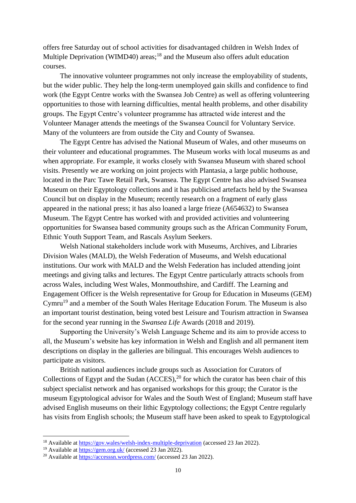offers free Saturday out of school activities for disadvantaged children in Welsh Index of Multiple Deprivation (WIMD40) areas;<sup>18</sup> and the Museum also offers adult education courses.

The innovative volunteer programmes not only increase the employability of students, but the wider public. They help the long-term unemployed gain skills and confidence to find work (the Egypt Centre works with the Swansea Job Centre) as well as offering volunteering opportunities to those with learning difficulties, mental health problems, and other disability groups. The Egypt Centre's volunteer programme has attracted wide interest and the Volunteer Manager attends the meetings of the Swansea Council for Voluntary Service. Many of the volunteers are from outside the City and County of Swansea.

The Egypt Centre has advised the National Museum of Wales, and other museums on their volunteer and educational programmes. The Museum works with local museums as and when appropriate. For example, it works closely with Swansea Museum with shared school visits. Presently we are working on joint projects with Plantasia, a large public hothouse, located in the Parc Tawe Retail Park, Swansea. The Egypt Centre has also advised Swansea Museum on their Egyptology collections and it has publicised artefacts held by the Swansea Council but on display in the Museum; recently research on a fragment of early glass appeared in the national press; it has also loaned a large frieze (A654632) to Swansea Museum. The Egypt Centre has worked with and provided activities and volunteering opportunities for Swansea based community groups such as the African Community Forum, Ethnic Youth Support Team, and Rascals Asylum Seekers.

Welsh National stakeholders include work with Museums, Archives, and Libraries Division Wales (MALD), the Welsh Federation of Museums, and Welsh educational institutions. Our work with MALD and the Welsh Federation has included attending joint meetings and giving talks and lectures. The Egypt Centre particularly attracts schools from across Wales, including West Wales, Monmouthshire, and Cardiff. The Learning and Engagement Officer is the Welsh representative for Group for Education in Museums (GEM) Cymru<sup>19</sup> and a member of the South Wales Heritage Education Forum. The Museum is also an important tourist destination, being voted best Leisure and Tourism attraction in Swansea for the second year running in the *Swansea Life* Awards (2018 and 2019).

Supporting the University's Welsh Language Scheme and its aim to provide access to all, the Museum's website has key information in Welsh and English and all permanent item descriptions on display in the galleries are bilingual. This encourages Welsh audiences to participate as visitors.

British national audiences include groups such as Association for Curators of Collections of Egypt and the Sudan  $(ACCES),<sup>20</sup>$  for which the curator has been chair of this subject specialist network and has organised workshops for this group; the Curator is the museum Egyptological advisor for Wales and the South West of England; Museum staff have advised English museums on their lithic Egyptology collections; the Egypt Centre regularly has visits from English schools; the Museum staff have been asked to speak to Egyptological

<sup>&</sup>lt;sup>18</sup> Available at<https://gov.wales/welsh-index-multiple-deprivation> (accessed 23 Jan 2022).

<sup>&</sup>lt;sup>19</sup> Available at  $\frac{https://gem.org.uk/}{green.org.uk/}$  (accessed 23 Jan 2022).

<sup>&</sup>lt;sup>20</sup> Available at<https://accesssn.wordpress.com/> (accessed 23 Jan 2022).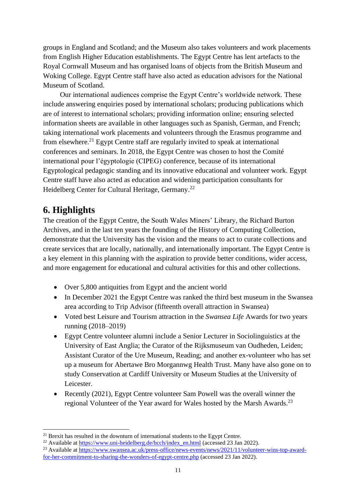groups in England and Scotland; and the Museum also takes volunteers and work placements from English Higher Education establishments. The Egypt Centre has lent artefacts to the Royal Cornwall Museum and has organised loans of objects from the British Museum and Woking College. Egypt Centre staff have also acted as education advisors for the National Museum of Scotland.

Our international audiences comprise the Egypt Centre's worldwide network. These include answering enquiries posed by international scholars; producing publications which are of interest to international scholars; providing information online; ensuring selected information sheets are available in other languages such as Spanish, German, and French; taking international work placements and volunteers through the Erasmus programme and from elsewhere.<sup>21</sup> Egypt Centre staff are regularly invited to speak at international conferences and seminars. In 2018, the Egypt Centre was chosen to host the Comité international pour l'égyptologie (CIPEG) conference, because of its international Egyptological pedagogic standing and its innovative educational and volunteer work. Egypt Centre staff have also acted as education and widening participation consultants for Heidelberg Center for Cultural Heritage, Germany.<sup>22</sup>

# **6. Highlights**

The creation of the Egypt Centre, the South Wales Miners' Library, the Richard Burton Archives, and in the last ten years the founding of the History of Computing Collection, demonstrate that the University has the vision and the means to act to curate collections and create services that are locally, nationally, and internationally important. The Egypt Centre is a key element in this planning with the aspiration to provide better conditions, wider access, and more engagement for educational and cultural activities for this and other collections.

- Over 5,800 antiquities from Egypt and the ancient world
- In December 2021 the Egypt Centre was ranked the third best museum in the Swansea area according to Trip Advisor (fifteenth overall attraction in Swansea)
- Voted best Leisure and Tourism attraction in the *Swansea Life* Awards for two years running (2018–2019)
- Egypt Centre volunteer alumni include a Senior Lecturer in Sociolinguistics at the University of East Anglia; the Curator of the Rijksmuseum van Oudheden, Leiden; Assistant Curator of the Ure Museum, Reading; and another ex-volunteer who has set up a museum for Abertawe Bro Morgannwg Health Trust. Many have also gone on to study Conservation at Cardiff University or Museum Studies at the University of Leicester.
- Recently (2021), Egypt Centre volunteer Sam Powell was the overall winner the regional Volunteer of the Year award for Wales hosted by the Marsh Awards.<sup>23</sup>

 $21$  Brexit has resulted in the downturn of international students to the Egypt Centre.

<sup>&</sup>lt;sup>22</sup> Available at [https://www.uni-heidelberg.de/hcch/index\\_en.html](https://www.uni-heidelberg.de/hcch/index_en.html) (accessed 23 Jan 2022).

<sup>&</sup>lt;sup>23</sup> Available at [https://www.swansea.ac.uk/press-office/news-events/news/2021/11/volunteer-wins-top-award](https://www.swansea.ac.uk/press-office/news-events/news/2021/11/volunteer-wins-top-award-for-her-commitment-to-sharing-the-wonders-of-egypt-centre.php)[for-her-commitment-to-sharing-the-wonders-of-egypt-centre.php](https://www.swansea.ac.uk/press-office/news-events/news/2021/11/volunteer-wins-top-award-for-her-commitment-to-sharing-the-wonders-of-egypt-centre.php) (accessed 23 Jan 2022).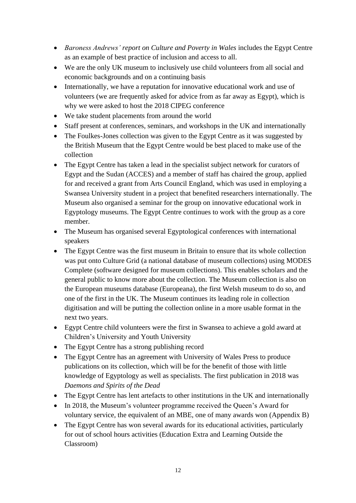- *Baroness Andrews' report on Culture and Poverty in Wales* includes the Egypt Centre as an example of best practice of inclusion and access to all.
- We are the only UK museum to inclusively use child volunteers from all social and economic backgrounds and on a continuing basis
- Internationally, we have a reputation for innovative educational work and use of volunteers (we are frequently asked for advice from as far away as Egypt), which is why we were asked to host the 2018 CIPEG conference
- We take student placements from around the world
- Staff present at conferences, seminars, and workshops in the UK and internationally
- The Foulkes-Jones collection was given to the Egypt Centre as it was suggested by the British Museum that the Egypt Centre would be best placed to make use of the collection
- The Egypt Centre has taken a lead in the specialist subject network for curators of Egypt and the Sudan (ACCES) and a member of staff has chaired the group, applied for and received a grant from Arts Council England, which was used in employing a Swansea University student in a project that benefited researchers internationally. The Museum also organised a seminar for the group on innovative educational work in Egyptology museums. The Egypt Centre continues to work with the group as a core member.
- The Museum has organised several Egyptological conferences with international speakers
- The Egypt Centre was the first museum in Britain to ensure that its whole collection was put onto Culture Grid (a national database of museum collections) using MODES Complete (software designed for museum collections). This enables scholars and the general public to know more about the collection. The Museum collection is also on the European museums database (Europeana), the first Welsh museum to do so, and one of the first in the UK. The Museum continues its leading role in collection digitisation and will be putting the collection online in a more usable format in the next two years.
- Egypt Centre child volunteers were the first in Swansea to achieve a gold award at Children's University and Youth University
- The Egypt Centre has a strong publishing record
- The Egypt Centre has an agreement with University of Wales Press to produce publications on its collection, which will be for the benefit of those with little knowledge of Egyptology as well as specialists. The first publication in 2018 was *Daemons and Spirits of the Dead*
- The Egypt Centre has lent artefacts to other institutions in the UK and internationally
- In 2018, the Museum's volunteer programme received the Queen's Award for voluntary service, the equivalent of an MBE, one of many awards won (Appendix B)
- The Egypt Centre has won several awards for its educational activities, particularly for out of school hours activities (Education Extra and Learning Outside the Classroom)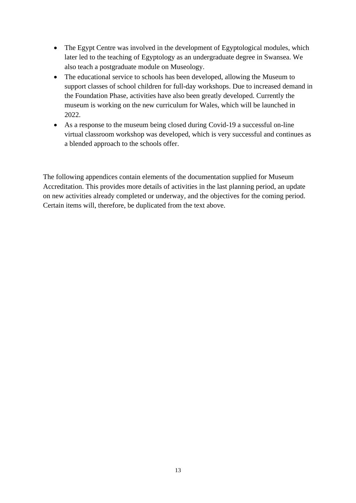- The Egypt Centre was involved in the development of Egyptological modules, which later led to the teaching of Egyptology as an undergraduate degree in Swansea. We also teach a postgraduate module on Museology.
- The educational service to schools has been developed, allowing the Museum to support classes of school children for full-day workshops. Due to increased demand in the Foundation Phase, activities have also been greatly developed. Currently the museum is working on the new curriculum for Wales, which will be launched in 2022.
- As a response to the museum being closed during Covid-19 a successful on-line virtual classroom workshop was developed, which is very successful and continues as a blended approach to the schools offer.

The following appendices contain elements of the documentation supplied for Museum Accreditation. This provides more details of activities in the last planning period, an update on new activities already completed or underway, and the objectives for the coming period. Certain items will, therefore, be duplicated from the text above.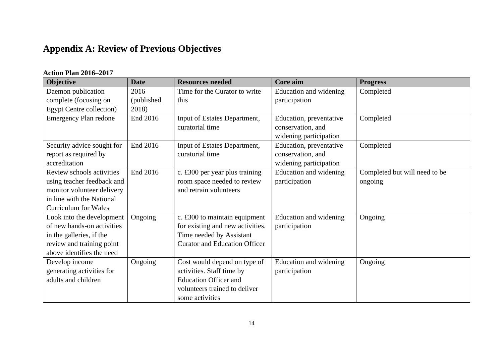# **Appendix A: Review of Previous Objectives**

# **Action Plan 2016–2017**

| Objective                       | <b>Date</b> | <b>Resources needed</b>              | Core aim                | <b>Progress</b>               |
|---------------------------------|-------------|--------------------------------------|-------------------------|-------------------------------|
| Daemon publication              | 2016        | Time for the Curator to write        | Education and widening  | Completed                     |
| complete (focusing on           | (published) | this                                 | participation           |                               |
| <b>Egypt Centre collection)</b> | 2018)       |                                      |                         |                               |
| <b>Emergency Plan redone</b>    | End 2016    | Input of Estates Department,         | Education, preventative | Completed                     |
|                                 |             | curatorial time                      | conservation, and       |                               |
|                                 |             |                                      | widening participation  |                               |
| Security advice sought for      | End 2016    | Input of Estates Department,         | Education, preventative | Completed                     |
| report as required by           |             | curatorial time                      | conservation, and       |                               |
| accreditation                   |             |                                      | widening participation  |                               |
| Review schools activities       | End 2016    | c. £300 per year plus training       | Education and widening  | Completed but will need to be |
| using teacher feedback and      |             | room space needed to review          | participation           | ongoing                       |
| monitor volunteer delivery      |             | and retrain volunteers               |                         |                               |
| in line with the National       |             |                                      |                         |                               |
| <b>Curriculum for Wales</b>     |             |                                      |                         |                               |
| Look into the development       | Ongoing     | c. £300 to maintain equipment        | Education and widening  | Ongoing                       |
| of new hands-on activities      |             | for existing and new activities.     | participation           |                               |
| in the galleries, if the        |             | Time needed by Assistant             |                         |                               |
| review and training point       |             | <b>Curator and Education Officer</b> |                         |                               |
| above identifies the need       |             |                                      |                         |                               |
| Develop income                  | Ongoing     | Cost would depend on type of         | Education and widening  | Ongoing                       |
| generating activities for       |             | activities. Staff time by            | participation           |                               |
| adults and children             |             | <b>Education Officer and</b>         |                         |                               |
|                                 |             | volunteers trained to deliver        |                         |                               |
|                                 |             | some activities                      |                         |                               |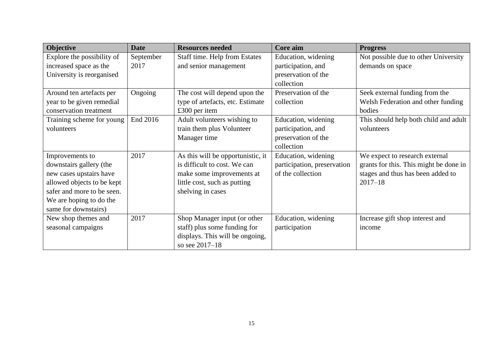| <b>Objective</b>           | <b>Date</b> | <b>Resources needed</b>           | Core aim                    | <b>Progress</b>                        |
|----------------------------|-------------|-----------------------------------|-----------------------------|----------------------------------------|
| Explore the possibility of | September   | Staff time. Help from Estates     | Education, widening         | Not possible due to other University   |
| increased space as the     | 2017        | and senior management             | participation, and          | demands on space                       |
| University is reorganised  |             |                                   | preservation of the         |                                        |
|                            |             |                                   | collection                  |                                        |
| Around ten artefacts per   | Ongoing     | The cost will depend upon the     | Preservation of the         | Seek external funding from the         |
| year to be given remedial  |             | type of artefacts, etc. Estimate  | collection                  | Welsh Federation and other funding     |
| conservation treatment     |             | £300 per item                     |                             | bodies                                 |
| Training scheme for young  | End 2016    | Adult volunteers wishing to       | Education, widening         | This should help both child and adult  |
| volunteers                 |             | train them plus Volunteer         | participation, and          | volunteers                             |
|                            |             | Manager time                      | preservation of the         |                                        |
|                            |             |                                   | collection                  |                                        |
| Improvements to            | 2017        | As this will be opportunistic, it | Education, widening         | We expect to research external         |
| downstairs gallery (the    |             | is difficult to cost. We can      | participation, preservation | grants for this. This might be done in |
| new cases upstairs have    |             | make some improvements at         | of the collection           | stages and thus has been added to      |
| allowed objects to be kept |             | little cost, such as putting      |                             | $2017 - 18$                            |
| safer and more to be seen. |             | shelving in cases                 |                             |                                        |
| We are hoping to do the    |             |                                   |                             |                                        |
| same for downstairs)       |             |                                   |                             |                                        |
| New shop themes and        | 2017        | Shop Manager input (or other      | Education, widening         | Increase gift shop interest and        |
| seasonal campaigns         |             | staff) plus some funding for      | participation               | income                                 |
|                            |             | displays. This will be ongoing,   |                             |                                        |
|                            |             | so see 2017-18                    |                             |                                        |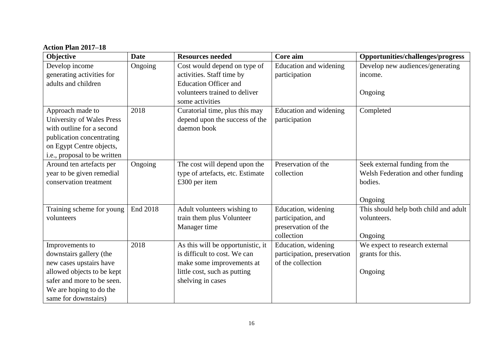**Action Plan 2017–18**

| Objective                    | <b>Date</b> | <b>Resources needed</b>           | Core aim                    | Opportunities/challenges/progress     |
|------------------------------|-------------|-----------------------------------|-----------------------------|---------------------------------------|
| Develop income               | Ongoing     | Cost would depend on type of      | Education and widening      | Develop new audiences/generating      |
| generating activities for    |             | activities. Staff time by         | participation               | income.                               |
| adults and children          |             | <b>Education Officer and</b>      |                             |                                       |
|                              |             | volunteers trained to deliver     |                             | Ongoing                               |
|                              |             | some activities                   |                             |                                       |
| Approach made to             | 2018        | Curatorial time, plus this may    | Education and widening      | Completed                             |
| University of Wales Press    |             | depend upon the success of the    | participation               |                                       |
| with outline for a second    |             | daemon book                       |                             |                                       |
| publication concentrating    |             |                                   |                             |                                       |
| on Egypt Centre objects,     |             |                                   |                             |                                       |
| i.e., proposal to be written |             |                                   |                             |                                       |
| Around ten artefacts per     | Ongoing     | The cost will depend upon the     | Preservation of the         | Seek external funding from the        |
| year to be given remedial    |             | type of artefacts, etc. Estimate  | collection                  | Welsh Federation and other funding    |
| conservation treatment       |             | £300 per item                     |                             | bodies.                               |
|                              |             |                                   |                             |                                       |
|                              |             |                                   |                             | Ongoing                               |
| Training scheme for young    | End 2018    | Adult volunteers wishing to       | Education, widening         | This should help both child and adult |
| volunteers                   |             | train them plus Volunteer         | participation, and          | volunteers.                           |
|                              |             | Manager time                      | preservation of the         |                                       |
|                              |             |                                   | collection                  | Ongoing                               |
| Improvements to              | 2018        | As this will be opportunistic, it | Education, widening         | We expect to research external        |
| downstairs gallery (the      |             | is difficult to cost. We can      | participation, preservation | grants for this.                      |
| new cases upstairs have      |             | make some improvements at         | of the collection           |                                       |
| allowed objects to be kept   |             | little cost, such as putting      |                             | Ongoing                               |
| safer and more to be seen.   |             | shelving in cases                 |                             |                                       |
| We are hoping to do the      |             |                                   |                             |                                       |
| same for downstairs)         |             |                                   |                             |                                       |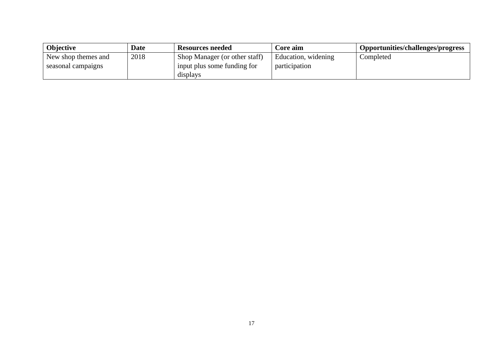| <b>Objective</b>    | <b>Date</b> | Resources needed              | Core aim            | Opportunities/challenges/progress |
|---------------------|-------------|-------------------------------|---------------------|-----------------------------------|
| New shop themes and | 2018        | Shop Manager (or other staff) | Education, widening | Completed                         |
| seasonal campaigns  |             | input plus some funding for   | participation       |                                   |
|                     |             | displays                      |                     |                                   |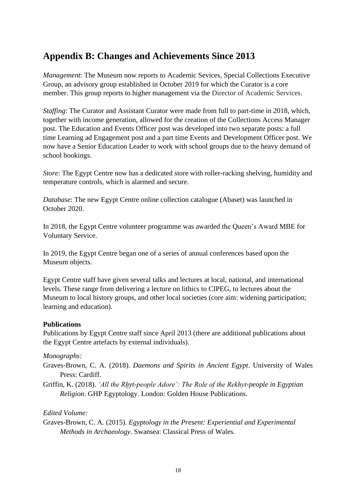# **Appendix B: Changes and Achievements Since 2013**

*Management*: The Museum now reports to Academic Sevices, Special Collections Executive Group, an advisory group established in October 2019 for which the Curator is a core member. This group reports to higher management via the Director of Academic Services.

*Staffing*: The Curator and Assistant Curator were made from full to part-time in 2018, which, together with income generation, allowed for the creation of the Collections Access Manager post. The Education and Events Officer post was developed into two separate posts: a full time Learning ad Engagement post and a part time Events and Development Officer post. We now have a Senior Education Leader to work with school groups due to the heavy demand of school bookings.

*Store*: The Egypt Centre now has a dedicated store with roller-racking shelving, humidity and temperature controls, which is alarmed and secure.

*Database*: The new Egypt Centre online collection catalogue (Abaset) was launched in October 2020.

In 2018, the Egypt Centre volunteer programme was awarded the Queen's Award MBE for Voluntary Service.

In 2019, the Egypt Centre began one of a series of annual conferences based upon the Museum objects.

Egypt Centre staff have given several talks and lectures at local, national, and international levels. These range from delivering a lecture on lithics to CIPEG, to lectures about the Museum to local history groups, and other local societies (core aim: widening participation; learning and education).

#### **Publications**

Publications by Egypt Centre staff since April 2013 (there are additional publications about the Egypt Centre artefacts by external individuals).

#### *Monographs:*

- Graves-Brown, C. A. (2018). *Daemons and Spirits in Ancient Egypt*. University of Wales Press: Cardiff.
- Griffin, K. (2018). *'All the Rhyt-people Adore': The Role of the Rekhyt-people in Egyptian Religion*. GHP Egyptology. London: Golden House Publications.

# *Edited Volume:*

Graves-Brown, C. A. (2015). *Egyptology in the Present: Experiential and Experimental Methods in Archaeology*. Swansea: Classical Press of Wales.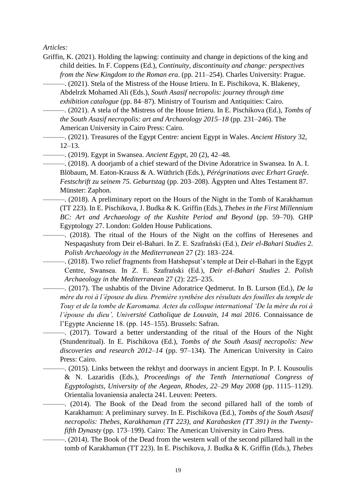*Articles:*

- Griffin, K. (2021). Holding the lapwing: continuity and change in depictions of the king and child deities. In F. Coppens (Ed.), *Continuity, discontinuity and change: perspectives from the New Kingdom to the Roman era*. (pp. 211–254). Charles University: Prague.
	- ———. (2021). Stela of the Mistress of the House Irtieru. In E. Pischikova, K. Blakeney, Abdelrzk Mohamed Ali (Eds.), *South Asasif necropolis: journey through time exhibition catalogue* (pp. 84–87). Ministry of Tourism and Antiquities: Cairo.
- ———. (2021). A stela of the Mistress of the House Irtieru. In E. Pischikova (Ed.), *Tombs of the South Asasif necropolis: art and Archaeology 2015–18* (pp. 231–246). The American University in Cairo Press: Cairo.
- ———. (2021). Treasures of the Egypt Centre: ancient Egypt in Wales. *Ancient History* 32, 12–13.
- ———. (2019). Egypt in Swansea. *Ancient Egypt*, 20 (2), 42–48.
- ———. (2018). A doorjamb of a chief steward of the Divine Adoratrice in Swansea. In A. I. Blöbaum, M. Eaton-Krauss & A. Wüthrich (Eds.), *Pérégrinations avec Erhart Graefe. Festschrift zu seinem 75. Geburtstag* (pp. 203–208). Ägypten und Altes Testament 87. Münster: Zaphon.
- ———. (2018). A preliminary report on the Hours of the Night in the Tomb of Karakhamun (TT 223). In E. Pischikova, J. Budka & K. Griffin (Eds.), *Thebes in the First Millennium BC: Art and Archaeology of the Kushite Period and Beyond* (pp. 59–70). GHP Egyptology 27. London: Golden House Publications.
	- ———. (2018). The ritual of the Hours of the Night on the coffins of Heresenes and Nespaqashuty from Deir el-Bahari. In Z. E. Szafrański (Ed.), *Deir el-Bahari Studies 2*. *Polish Archaeology in the Mediterranean* 27 (2): 183–224.
- ———. (2018). Two relief fragments from Hatshepsut's temple at Deir el-Bahari in the Egypt Centre, Swansea. In Z. E. Szafrański (Ed.), *Deir el-Bahari Studies 2*. *Polish Archaeology in the Mediterranean* 27 (2): 225–235.
	- ———. (2017). The ushabtis of the Divine Adoratrice Qedmerut. In B. Lurson (Ed.), *De la mère du roi à l'épouse du dieu. Première synthèse des résultats des fouilles du temple de Touy et de la tombe de Karomama. Actes du colloque international 'De la mère du roi à l'épouse du dieu', Université Catholique de Louvain, 14 mai 2016*. Connaissance de l'Egypte Ancienne 18. (pp. 145–155). Brussels: Safran.
		- ———. (2017). Toward a better understanding of the ritual of the Hours of the Night (Stundenritual). In E. Pischikova (Ed.), *Tombs of the South Asasif necropolis: New discoveries and research 2012–14* (pp. 97–134). The American University in Cairo Press: Cairo.
- ———. (2015). Links between the rekhyt and doorways in ancient Egypt. In P. I. Kousoulis & N. Lazaridis (Eds.), *Proceedings of the Tenth International Congress of Egyptologists, University of the Aegean, Rhodes, 22–29 May 2008* (pp. 1115–1129). Orientalia lovaniensia analecta 241. Leuven: Peeters.
	- ———. (2014). The Book of the Dead from the second pillared hall of the tomb of Karakhamun: A preliminary survey. In E. Pischikova (Ed.), *Tombs of the South Asasif necropolis: Thebes, Karakhamun (TT 223), and Karabasken (TT 391) in the Twentyfifth Dynasty* (pp. 173–199). Cairo: The American University in Cairo Press.
		- ———. (2014). The Book of the Dead from the western wall of the second pillared hall in the tomb of Karakhamun (TT 223). In E. Pischikova, J. Budka & K. Griffin (Eds.), *Thebes*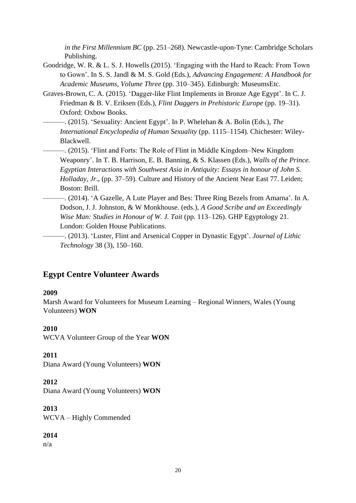*in the First Millennium BC* (pp. 251–268). Newcastle-upon-Tyne: Cambridge Scholars Publishing.

- Goodridge, W. R. & L. S. J. Howells (2015). 'Engaging with the Hard to Reach: From Town to Gown'. In S. S. Jandl & M. S. Gold (Eds.), *Advancing Engagement: A Handbook for Academic Museums, Volume Three* (pp. 310–345). Edinburgh: MuseumsEtc.
- Graves-Brown, C. A. (2015). 'Dagger-like Flint Implements in Bronze Age Egypt'. In C. J. Friedman & B. V. Eriksen (Eds.), *Flint Daggers in Prehistoric Europe* (pp. 19–31). Oxford: Oxbow Books.
- ———. (2015). 'Sexuality: Ancient Egypt'. In P. Whelehan & A. Bolin (Eds.), *The International Encyclopedia of Human Sexuality* (pp. 1115–1154). Chichester: Wiley-Blackwell.

———. (2015). 'Flint and Forts: The Role of Flint in Middle Kingdom–New Kingdom Weaponry'. In T. B. Harrison, E. B. Banning, & S. Klassen (Eds.), *Walls of the Prince. Egyptian Interactions with Southwest Asia in Antiquity: Essays in honour of John S. Holladay*, *Jr*., (pp. 37–59). Culture and History of the Ancient Near East 77. Leiden; Boston: Brill.

- ———. (2014). 'A Gazelle, A Lute Player and Bes: Three Ring Bezels from Amarna'. In A. Dodson, J. J. Johnston, & W Monkhouse. (eds.), *A Good Scribe and an Exceedingly Wise Man: Studies in Honour of W. J. Tait* (pp. 113–126). GHP Egyptology 21. London: Golden House Publications.
- ———. (2013). 'Luster, Flint and Arsenical Copper in Dynastic Egypt'. *Journal of Lithic Technology* 38 (3), 150–160.

# **Egypt Centre Volunteer Awards**

#### **2009**

Marsh Award for Volunteers for Museum Learning – Regional Winners, Wales (Young Volunteers) **WON**

#### **2010**

WCVA Volunteer Group of the Year **WON**

**2011**

Diana Award (Young Volunteers) **WON**

# **2012**

Diana Award (Young Volunteers) **WON**

**2013** WCVA – Highly Commended

# **2014**

n/a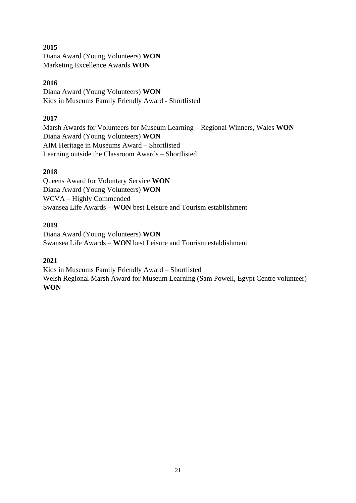# **2015**

Diana Award (Young Volunteers) **WON** Marketing Excellence Awards **WON**

# **2016**

Diana Award (Young Volunteers) **WON** Kids in Museums Family Friendly Award - Shortlisted

# **2017**

Marsh Awards for Volunteers for Museum Learning – Regional Winners, Wales **WON** Diana Award (Young Volunteers) **WON** AIM Heritage in Museums Award – Shortlisted Learning outside the Classroom Awards – Shortlisted

# **2018**

Queens Award for Voluntary Service **WON** Diana Award (Young Volunteers) **WON** WCVA – Highly Commended Swansea Life Awards – **WON** best Leisure and Tourism establishment

# **2019**

Diana Award (Young Volunteers) **WON** Swansea Life Awards – **WON** best Leisure and Tourism establishment

# **2021**

Kids in Museums Family Friendly Award – Shortlisted Welsh Regional Marsh Award for Museum Learning (Sam Powell, Egypt Centre volunteer) – **WON**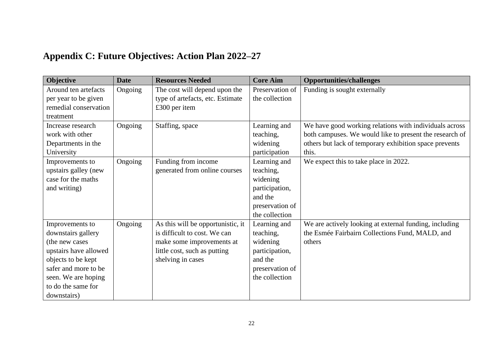# **Appendix C: Future Objectives: Action Plan 2022–27**

| Objective             | <b>Date</b> | <b>Resources Needed</b>           | <b>Core Aim</b> | <b>Opportunities/challenges</b>                         |
|-----------------------|-------------|-----------------------------------|-----------------|---------------------------------------------------------|
| Around ten artefacts  | Ongoing     | The cost will depend upon the     | Preservation of | Funding is sought externally                            |
| per year to be given  |             | type of artefacts, etc. Estimate  | the collection  |                                                         |
| remedial conservation |             | £300 per item                     |                 |                                                         |
| treatment             |             |                                   |                 |                                                         |
| Increase research     | Ongoing     | Staffing, space                   | Learning and    | We have good working relations with individuals across  |
| work with other       |             |                                   | teaching,       | both campuses. We would like to present the research of |
| Departments in the    |             |                                   | widening        | others but lack of temporary exhibition space prevents  |
| University            |             |                                   | participation   | this.                                                   |
| Improvements to       | Ongoing     | Funding from income               | Learning and    | We expect this to take place in 2022.                   |
| upstairs galley (new  |             | generated from online courses     | teaching,       |                                                         |
| case for the maths    |             |                                   | widening        |                                                         |
| and writing)          |             |                                   | participation,  |                                                         |
|                       |             |                                   | and the         |                                                         |
|                       |             |                                   | preservation of |                                                         |
|                       |             |                                   | the collection  |                                                         |
| Improvements to       | Ongoing     | As this will be opportunistic, it | Learning and    | We are actively looking at external funding, including  |
| downstairs gallery    |             | is difficult to cost. We can      | teaching,       | the Esmée Fairbairn Collections Fund, MALD, and         |
| (the new cases        |             | make some improvements at         | widening        | others                                                  |
| upstairs have allowed |             | little cost, such as putting      | participation,  |                                                         |
| objects to be kept    |             | shelving in cases                 | and the         |                                                         |
| safer and more to be  |             |                                   | preservation of |                                                         |
| seen. We are hoping   |             |                                   | the collection  |                                                         |
| to do the same for    |             |                                   |                 |                                                         |
| downstairs)           |             |                                   |                 |                                                         |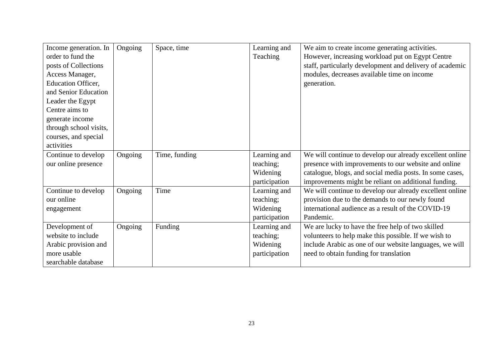| Income generation. In     | Ongoing | Space, time   | Learning and  | We aim to create income generating activities.           |
|---------------------------|---------|---------------|---------------|----------------------------------------------------------|
| order to fund the         |         |               | Teaching      | However, increasing workload put on Egypt Centre         |
| posts of Collections      |         |               |               | staff, particularly development and delivery of academic |
| Access Manager,           |         |               |               | modules, decreases available time on income              |
| <b>Education Officer,</b> |         |               |               | generation.                                              |
| and Senior Education      |         |               |               |                                                          |
| Leader the Egypt          |         |               |               |                                                          |
| Centre aims to            |         |               |               |                                                          |
| generate income           |         |               |               |                                                          |
| through school visits,    |         |               |               |                                                          |
| courses, and special      |         |               |               |                                                          |
| activities                |         |               |               |                                                          |
| Continue to develop       | Ongoing | Time, funding | Learning and  | We will continue to develop our already excellent online |
| our online presence       |         |               | teaching;     | presence with improvements to our website and online     |
|                           |         |               | Widening      | catalogue, blogs, and social media posts. In some cases, |
|                           |         |               | participation | improvements might be reliant on additional funding.     |
| Continue to develop       | Ongoing | Time          | Learning and  | We will continue to develop our already excellent online |
| our online                |         |               | teaching;     | provision due to the demands to our newly found          |
| engagement                |         |               | Widening      | international audience as a result of the COVID-19       |
|                           |         |               | participation | Pandemic.                                                |
| Development of            | Ongoing | Funding       | Learning and  | We are lucky to have the free help of two skilled        |
| website to include        |         |               | teaching;     | volunteers to help make this possible. If we wish to     |
| Arabic provision and      |         |               | Widening      | include Arabic as one of our website languages, we will  |
| more usable               |         |               | participation | need to obtain funding for translation                   |
| searchable database       |         |               |               |                                                          |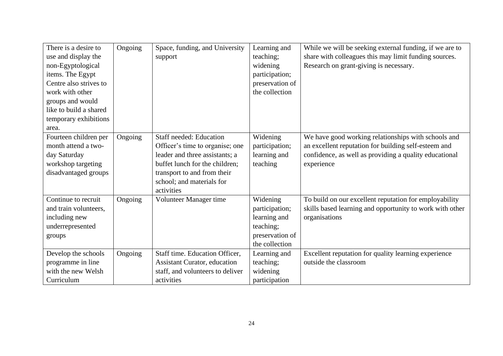| There is a desire to   | Ongoing | Space, funding, and University      | Learning and    | While we will be seeking external funding, if we are to  |
|------------------------|---------|-------------------------------------|-----------------|----------------------------------------------------------|
| use and display the    |         | support                             | teaching;       | share with colleagues this may limit funding sources.    |
| non-Egyptological      |         |                                     | widening        | Research on grant-giving is necessary.                   |
| items. The Egypt       |         |                                     | participation;  |                                                          |
| Centre also strives to |         |                                     | preservation of |                                                          |
| work with other        |         |                                     | the collection  |                                                          |
| groups and would       |         |                                     |                 |                                                          |
| like to build a shared |         |                                     |                 |                                                          |
| temporary exhibitions  |         |                                     |                 |                                                          |
| area.                  |         |                                     |                 |                                                          |
| Fourteen children per  | Ongoing | <b>Staff needed: Education</b>      | Widening        | We have good working relationships with schools and      |
| month attend a two-    |         | Officer's time to organise; one     | participation;  | an excellent reputation for building self-esteem and     |
| day Saturday           |         | leader and three assistants; a      | learning and    | confidence, as well as providing a quality educational   |
| workshop targeting     |         | buffet lunch for the children;      | teaching        | experience                                               |
| disadvantaged groups   |         | transport to and from their         |                 |                                                          |
|                        |         | school; and materials for           |                 |                                                          |
|                        |         | activities                          |                 |                                                          |
| Continue to recruit    | Ongoing | Volunteer Manager time              | Widening        | To build on our excellent reputation for employability   |
| and train volunteers,  |         |                                     | participation;  | skills based learning and opportunity to work with other |
| including new          |         |                                     | learning and    | organisations                                            |
| underrepresented       |         |                                     | teaching;       |                                                          |
| groups                 |         |                                     | preservation of |                                                          |
|                        |         |                                     | the collection  |                                                          |
| Develop the schools    | Ongoing | Staff time. Education Officer,      | Learning and    | Excellent reputation for quality learning experience     |
| programme in line      |         | <b>Assistant Curator, education</b> | teaching;       | outside the classroom                                    |
| with the new Welsh     |         | staff, and volunteers to deliver    | widening        |                                                          |
| Curriculum             |         | activities                          | participation   |                                                          |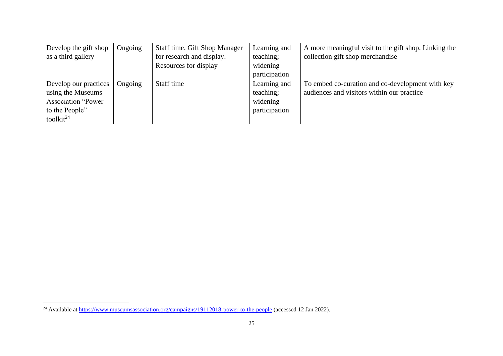| Develop the gift shop     | Ongoing | Staff time. Gift Shop Manager | Learning and  | A more meaningful visit to the gift shop. Linking the |
|---------------------------|---------|-------------------------------|---------------|-------------------------------------------------------|
| as a third gallery        |         | for research and display.     | teaching;     | collection gift shop merchandise                      |
|                           |         | Resources for display         | widening      |                                                       |
|                           |         |                               | participation |                                                       |
| Develop our practices     | Ongoing | Staff time                    | Learning and  | To embed co-curation and co-development with key      |
| using the Museums         |         |                               | teaching;     | audiences and visitors within our practice            |
| <b>Association "Power</b> |         |                               | widening      |                                                       |
| to the People"            |         |                               | participation |                                                       |
| toolkit <sup>24</sup>     |         |                               |               |                                                       |

<sup>&</sup>lt;sup>24</sup> Available at<https://www.museumsassociation.org/campaigns/19112018-power-to-the-people> (accessed 12 Jan 2022).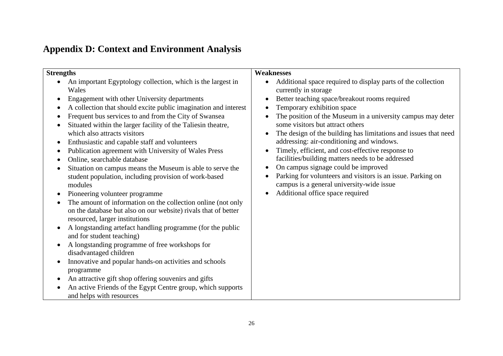# **Appendix D: Context and Environment Analysis**